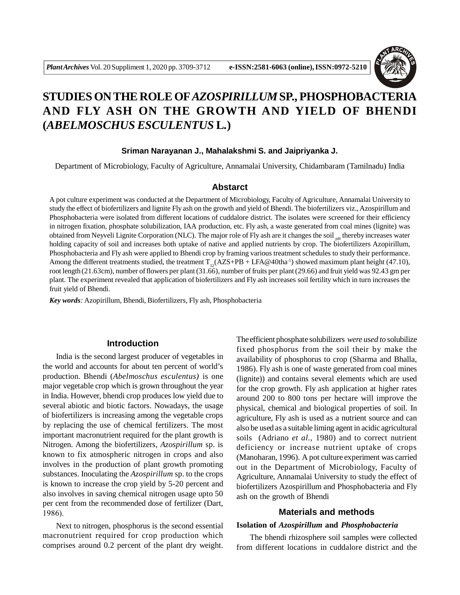

# **STUDIES ON THE ROLE OF***AZOSPIRILLUM* **SP., PHOSPHOBACTERIA AND FLY ASH ON THE GROWTH AND YIELD OF BHENDI (***ABELMOSCHUS ESCULENTUS* **L***.***)**

#### **Sriman Narayanan J., Mahalakshmi S. and Jaipriyanka J.**

Department of Microbiology, Faculty of Agriculture, Annamalai University, Chidambaram (Tamilnadu) India

# **Abstarct**

A pot culture experiment was conducted at the Department of Microbiology, Faculty of Agriculture, Annamalai University to study the effect of biofertilizers and lignite Fly ash on the growth and yield of Bhendi. The biofertilizers viz., Azospirillum and Phosphobacteria were isolated from different locations of cuddalore district. The isolates were screened for their efficiency in nitrogen fixation, phosphate solubilization, IAA production, etc. Fly ash, a waste generated from coal mines (lignite) was obtained from Neyveli Lignite Corporation (NLC). The major role of Fly ash are it changes the soil  $_{\text{nd}}$  thereby increases water holding capacity of soil and increases both uptake of native and applied nutrients by crop. The biofertilizers Azopirillum, Phosphobacteria and Fly ash were applied to Bhendi crop by framing various treatment schedules to study their performance. Among the different treatments studied, the treatment  $T_{12}(AZS+PB + LFA@40tha^{-1})$  showed maximum plant height (47.10), root length (21.63cm), number of flowers per plant (31.66), number of fruits per plant (29.66) and fruit yield was 92.43 gm per plant. The experiment revealed that application of biofertilizers and Fly ash increases soil fertility which in turn increases the fruit yield of Bhendi.

*Key words:* Azopirillum, Bhendi, Biofertilizers, Fly ash, Phosphobacteria

#### **Introduction**

India is the second largest producer of vegetables in the world and accounts for about ten percent of world's production. Bhendi (*Abelmoschus esculentus)* is one major vegetable crop which is grown throughout the year in India. However, bhendi crop produces low yield due to several abiotic and biotic factors. Nowadays, the usage of biofertilizers is increasing among the vegetable crops by replacing the use of chemical fertilizers. The most important macronutrient required for the plant growth is Nitrogen. Among the biofertilizers, *Azospirillum* sp. is known to fix atmospheric nitrogen in crops and also involves in the production of plant growth promoting substances. Inoculating the *Azospirillum* sp. to the crops is known to increase the crop yield by 5-20 percent and also involves in saving chemical nitrogen usage upto 50 per cent from the recommended dose of fertilizer (Dart, 1986).

Next to nitrogen, phosphorus is the second essential macronutrient required for crop production which comprises around 0.2 percent of the plant dry weight.

The efficient phosphate solubilizers *were used to* solubilize fixed phosphorus from the soil their by make the availability of phosphorus to crop (Sharma and Bhalla, 1986). Fly ash is one of waste generated from coal mines (lignite)) and contains several elements which are used for the crop growth. Fly ash application at higher rates around 200 to 800 tons per hectare will improve the physical, chemical and biological properties of soil. In agriculture, Fly ash is used as a nutrient source and can also be used as a suitable liming agent in acidic agricultural soils (Adriano *et al.,* 1980) and to correct nutrient deficiency or increase nutrient uptake of crops (Manoharan, 1996). A pot culture experiment was carried out in the Department of Microbiology, Faculty of Agriculture, Annamalai University to study the effect of biofertilizers Azospirillum and Phosphobacteria and Fly ash on the growth of Bhendi

# **Materials and methods**

# **Isolation of** *Azospirillum* **and** *Phosphobacteria*

The bhendi rhizosphere soil samples were collected from different locations in cuddalore district and the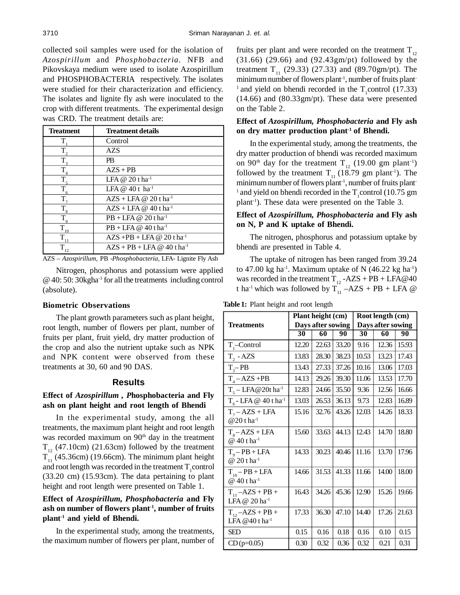collected soil samples were used for the isolation of *Azospirillum* and *Phosphobacteria.* NFB and Pikovskaya medium were used to isolate Azospirillum and PHOSPHOBACTERIA respectively. The isolates were studied for their characterization and efficiency. The isolates and lignite fly ash were inoculated to the crop with different treatments. The experimental design was CRD. The treatment details are:

| <b>Treatment</b>    | <b>Treatment details</b>                      |
|---------------------|-----------------------------------------------|
| т                   | Control                                       |
| $T_{2}$             | <b>AZS</b>                                    |
| $T_{\rm a}$         | <b>PB</b>                                     |
| $T_{\rm A}$         | $AZS + PB$                                    |
| T.                  | LFA $@$ 20 t ha <sup>-1</sup>                 |
| $\overline{T}_6$    | LFA @ $40t$ ha <sup>-1</sup>                  |
| T.                  | $AZS + LFA @ 20tha^{-1}$                      |
| $T_{\rm g}$         | $AZS + LFA \omega 40$ t ha <sup>-1</sup>      |
| $T_{\rm o}$         | $PB + LFA \omega 20$ t ha <sup>-1</sup>       |
| $\tilde{T}_{10}$    | $PB + LFA \omega 40$ tha <sup>-1</sup>        |
| $\overline{T}_{11}$ | $AZS + PB + LFA \omega 20$ t ha <sup>-1</sup> |
| т<br>12             | $AZS + PB + LFA \omega 40$ t ha <sup>-1</sup> |

AZS – *Azospirillum,* PB -*Phosphobacteria,* LFA- Lignite Fly Ash

Nitrogen, phosphorus and potassium were applied @ 40: 50: 30kgha-1 for all the treatments including control (absolute).

#### **Biometric Observations**

The plant growth parameters such as plant height, root length, number of flowers per plant, number of fruits per plant, fruit yield, dry matter production of the crop and also the nutrient uptake such as NPK and NPK content were observed from these treatments at 30, 60 and 90 DAS.

#### **Results**

# **Effect of** *Azospirillum , P***hosphobacteria and Fly ash on plant height and root length of Bhendi**

In the experimental study, among the all treatments, the maximum plant height and root length was recorded maximum on 90<sup>th</sup> day in the treatment  $T_{12}$  (47.10cm) (21.63cm) followed by the treatment  $T_{11}$  (45.36cm) (19.66cm). The minimum plant height and root length was recorded in the treatment  $T_1$  control (33.20 cm) (15.93cm). The data pertaining to plant height and root length were presented on Table 1.

# **Effect of** *Azospirillum, Phosphobacteria* **and Fly ash on number of flowers plant-1, number of fruits plant-1 and yield of Bhendi.**

In the experimental study, among the treatments, the maximum number of flowers per plant, number of fruits per plant and were recorded on the treatment  $T_{12}$ (31.66) (29.66) and (92.43gm/pt) followed by the treatment  $T_{11}$  (29.33) (27.33) and (89.70gm/pt). The minimum number of flowers plant<sup>-1</sup>, number of fruits plant-<sup>1</sup> and yield on bhendi recorded in the  $T_1$ control (17.33) (14.66) and (80.33gm/pt). These data were presented on the Table 2.

# **Effect of** *Azospirillum, Phosphobacteria* **and Fly ash on dry matter production plant-1 of Bhendi.**

In the experimental study, among the treatments, the dry matter production of bhendi was recorded maximum on 90<sup>th</sup> day for the treatment T<sub>12</sub> (19.00 gm plant<sup>-1</sup>) followed by the treatment  $T_{11}$  (18.79 gm plant<sup>-1</sup>). The minimum number of flowers plant<sup>-1</sup>, number of fruits plant-<sup>1</sup> and yield on bhendi recorded in the  $T_1$ control (10.75 gm plant-1). These data were presented on the Table 3.

# **Effect of** *Azospirillum, Phosphobacteria* **and Fly ash on N, P and K uptake of Bhendi.**

The nitrogen, phosphorus and potassium uptake by bhendi are presented in Table 4.

The uptake of nitrogen has been ranged from 39.24 to 47.00 kg ha<sup>-1</sup>. Maximum uptake of N  $(46.22 \text{ kg ha}^{-1})$ was recorded in the treatment  $T_{12}$  -AZS + PB + LFA@40 t ha<sup>-1</sup> which was followed by  $T_{11} - AZS + PB + LFA \&$ 

|                                                       | Plant height (cm) |       | Root length (cm) |                   |       |       |
|-------------------------------------------------------|-------------------|-------|------------------|-------------------|-------|-------|
| <b>Treatments</b>                                     | Days after sowing |       |                  | Days after sowing |       |       |
|                                                       | 30                | 60    | 90               | 30                | 60    | 90    |
| $T_{1}$ -Control                                      | 12.20             | 22.63 | 33.20            | 9.16              | 12.36 | 15.93 |
| $T_{2} - AZS$                                         | 13.83             | 28.30 | 38.23            | 10.53             | 13.23 | 17.43 |
| $T_{3}-PB$                                            | 13.43             | 27.33 | 37.26            | 10.16             | 13.06 | 17.03 |
| $T_{4} - AZS + PB$                                    | 14.13             | 29.26 | 39.30            | 11.06             | 13.53 | 17.70 |
| $T_s - LFA@20t$ ha <sup>-1</sup>                      | 12.83             | 24.66 | 35.50            | 9.36              | 12.56 | 16.66 |
| $T_c$ - LFA @ 40 t ha <sup>-1</sup>                   | 13.03             | 26.53 | 36.13            | 9.73              | 12.83 | 16.89 |
| $T_7 - AZS + LFA$<br>$@20$ tha <sup>-1</sup>          | 15.16             | 32.76 | 43.26            | 12.03             | 14.26 | 18.33 |
| $T_{8} - AZS + LFA$<br>$@40$ t ha <sup>-1</sup>       | 15.60             | 33.63 | 44.13            | 12.43             | 14.70 | 18.80 |
| $T_q - PB + LFA$<br>@ 20 t ha <sup>-1</sup>           | 14.33             | 30.23 | 40.46            | 11.16             | 13.70 | 17.96 |
| $T_{10} - PB + LFA$<br>@ 40 t ha <sup>-1</sup>        | 14.66             | 31.53 | 41.33            | 11.66             | 14.00 | 18.00 |
| $T_{11}$ –AZS + PB +<br>LFA @ 20 ha <sup>-1</sup>     | 16.43             | 34.26 | 45.36            | 12.90             | 15.26 | 19.66 |
| $T_{12} - AZS + PB +$<br>LFA $@40$ t ha <sup>-1</sup> | 17.33             | 36.30 | 47.10            | 14.40             | 17.26 | 21.63 |
| <b>SED</b>                                            | 0.15              | 0.16  | 0.18             | 0.16              | 0.10  | 0.15  |
| $CD (p=0.05)$                                         | 0.30              | 0.32  | 0.36             | 0.32              | 0.21  | 0.31  |

**Table 1:** Plant height and root length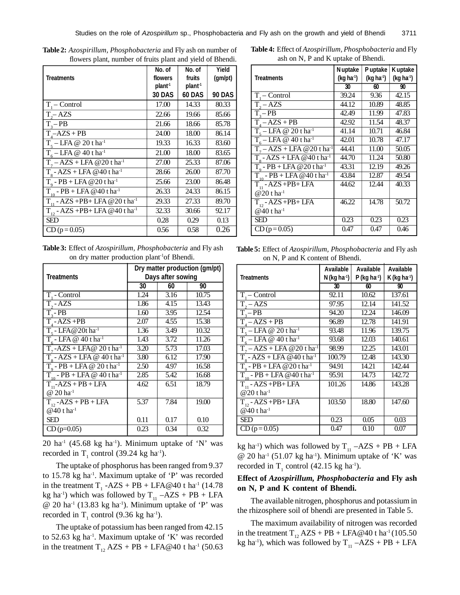| <b>Treatments</b>                               | No. of<br>flowers<br>plant <sup>-1</sup><br><b>30 DAS</b> | No. of<br>fruits<br>plant <sup>1</sup><br><b>60 DAS</b> | Yield<br>(gm/pt)<br><b>90 DAS</b> |
|-------------------------------------------------|-----------------------------------------------------------|---------------------------------------------------------|-----------------------------------|
| $T_1$ – Control                                 | 17.00                                                     | 14.33                                                   | 80.33                             |
| $T_{2}$ AZS                                     | 22.66                                                     | 19.66                                                   | 85.66                             |
| $T_{3}-PB$                                      | 21.66                                                     | 18.66                                                   | 85.78                             |
| $T_A - AZS + PB$                                | 24.00                                                     | 18.00                                                   | 86.14                             |
| $T_5 - LFA @ 20$ t ha <sup>-1</sup>             | 19.33                                                     | 16.33                                                   | 83.60                             |
| $T_c$ – LFA @ 40 t ha <sup>-1</sup>             | 21.00                                                     | 18.00                                                   | 83.65                             |
| $T7 - AZS + LFA @ 20 tha-1$                     | 27.00                                                     | 25.33                                                   | 87.06                             |
| $T_s$ - AZS + LFA @40 t ha <sup>-1</sup>        | 28.66                                                     | 26.00                                                   | 87.70                             |
| $T_0$ - PB + LFA @ 20 t ha <sup>-1</sup>        | 25.66                                                     | 23.00                                                   | 86.48                             |
| $T_{10}$ - PB + LFA @40 t ha <sup>-1</sup>      | 26.33                                                     | 24.33                                                   | 86.15                             |
| $T_{11}$ - AZS +PB+ LFA @ 20 t ha <sup>-1</sup> | 29.33                                                     | 27.33                                                   | 89.70                             |
| $T_{12}$ - AZS +PB+ LFA @40 t ha <sup>-1</sup>  | 32.33                                                     | 30.66                                                   | 92.17                             |
| <b>SED</b>                                      | 0.28                                                      | 0.29                                                    | 0.13                              |
| $CD (p=0.05)$                                   | 0.56                                                      | 0.58                                                    | 0.26                              |

**Table 2:** *Azospirillum, Phosphobacteria* and Fly ash on number of flowers plant, number of fruits plant and yield of Bhendi.

| Table 3: Effect of Azospirillum, Phosphobacteria and Fly ash |  |  |
|--------------------------------------------------------------|--|--|
| on dry matter production plant <sup>1</sup> of Bhendi.       |  |  |

|                                                 | Dry matter production (gm/pt) |      |       |  |
|-------------------------------------------------|-------------------------------|------|-------|--|
| <b>Treatments</b>                               | Days after sowing             |      |       |  |
|                                                 | 30                            | 60   | 90    |  |
| T. - Control                                    | 1.24                          | 3.16 | 10.75 |  |
| $\overline{T, -AZS}$                            | 1.86                          | 4.15 | 13.43 |  |
| $\overline{T_{2}}$ - PB                         | 1.60                          | 3.95 | 12.54 |  |
| $T - AZS + PB$                                  | 2.07                          | 4.55 | 15.38 |  |
| $T_c$ - LFA @ 20t ha <sup>1</sup>               | 1.36                          | 3.49 | 10.32 |  |
| $T - LFA @ 40$ tha <sup>1</sup>                 | 1.43                          | 3.72 | 11.26 |  |
| $T_a$ -AZS + LFA@ 20 t ha <sup>-1</sup>         | 3.20                          | 5.73 | 17.03 |  |
| $T_{\circ}$ - AZS + LFA @ 40 t ha <sup>-1</sup> | 3.80                          | 6.12 | 17.90 |  |
| $T_0$ - PB + LFA @ 20 t ha <sup>-1</sup>        | 2.50                          | 4.97 | 16.58 |  |
| $T_{10}$ - PB + LFA @ 40 t ha <sup>-1</sup>     | 2.85                          | 5.42 | 16.68 |  |
| $T_{11}$ -AZS + PB + LFA                        | 4.62                          | 6.51 | 18.79 |  |
| $@ 20 \text{ ha}^{-1}$                          |                               |      |       |  |
| $T_{12}$ -AZS + PB + LFA                        | 5.37                          | 7.84 | 19.00 |  |
| $@40$ t ha <sup>-1</sup>                        |                               |      |       |  |
| SED                                             | 0.11                          | 0.17 | 0.10  |  |
| $CD$ (p=0.05)                                   | 0.23                          | 0.34 | 0.32  |  |

 $20$  ha<sup>-1</sup> (45.68 kg ha<sup>-1</sup>). Minimum uptake of 'N' was recorded in  $T_1$  control (39.24 kg ha<sup>-1</sup>).

The uptake of phosphorus has been ranged from 9.37 to 15.78 kg ha<sup>-1</sup>. Maximum uptake of 'P' was recorded in the treatment  $T_1$  -AZS + PB + LFA@40 t ha<sup>-1</sup> (14.78) kg ha<sup>-1</sup>) which was followed by  $T_{11} - AZS + PB + LFA$  $@ 20$  ha<sup>-1</sup> (13.83 kg ha<sup>-1</sup>). Minimum uptake of 'P' was recorded in  $T_1$  control (9.36 kg ha<sup>-1</sup>).

The uptake of potassium has been ranged from 42.15 to 52.63 kg ha<sup>-1</sup>. Maximum uptake of 'K' was recorded in the treatment  $T_{12}$  AZS + PB + LFA@40 t ha<sup>-1</sup> (50.63)

**Table 4:** Effect of *Azospirillum, Phosphobacteria* and Fly ash on N, P and K uptake of Bhendi.

|                                            | N uptake    | Puptake                | <b>Kuptake</b>     |
|--------------------------------------------|-------------|------------------------|--------------------|
| <b>Treatments</b>                          | $(kq ha-1)$ | (kg ha <sup>-1</sup> ) | $(kq ha-1)$        |
|                                            | 30          | 60                     | 90                 |
| $T -$ Control                              | 39.24       | 9.36                   | $\overline{42.15}$ |
| $\overline{T_{2}} - AZS$                   | 44.12       | 10.89                  | 48.85              |
| $T_{0}-PB$                                 | 42.49       | 11.99                  | 47.83              |
| $T4 - AZS + PB$                            | 42.92       | 11.54                  | 48.37              |
| $T_{s}$ – LFA @ 20 t ha <sup>-1</sup>      | 41.14       | 10.71                  | 46.84              |
| $T_c$ – LFA @ 40 t ha <sup>1</sup>         | 42.01       | 10.78                  | 47.17              |
| $Ta - AZS + LFA @20tha-1$                  | 44.41       | 11.00                  | 50.05              |
| $T_e$ - AZS + LFA @40 t ha <sup>-1</sup>   | 44.70       | 11.24                  | 50.80              |
| $T_0$ - PB + LFA @ 20 t ha <sup>-1</sup>   | 43.31       | 12.19                  | 49.26              |
| $T_{10}$ - PB + LFA @40 t ha <sup>-1</sup> | 43.84       | 12.87                  | 49.54              |
| $T_{11} - AZS + PB + LFA$                  | 44.62       | 12.44                  | 40.33              |
| $@20$ t ha <sup>-1</sup>                   |             |                        |                    |
| $T_{12}$ - AZS +PB+ LFA                    | 46.22       | 14.78                  | 50.72              |
| $@40$ t ha <sup>-1</sup>                   |             |                        |                    |
| SED                                        | 0.23        | 0.23                   | 0.23               |
| $CD (p=0.05)$                              | 0.47        | 0.47                   | 0.46               |

**Table 5:** Effect of *Azospirillum, Phosphobacteria* and Fly ash on N, P and K content of Bhendi.

| <b>Treatments</b>                                    | Available<br>$N$ (kg ha-1) | <b>Available</b><br>$P$ (kg ha $\cdot$ 1) | <b>Available</b><br>K (kg ha-1) |
|------------------------------------------------------|----------------------------|-------------------------------------------|---------------------------------|
|                                                      | 30                         | 60                                        | 90                              |
| $T -$ Control                                        | 92.11                      | 10.62                                     | 137.61                          |
| $\overline{T, -A}ZS$                                 | 97.95                      | 12.14                                     | 141.52                          |
| $T_{2}-PB$                                           | 94.20                      | 12.24                                     | 146.09                          |
| $T4 - AZS + PB$                                      | 96.89                      | 12.78                                     | 141.91                          |
| $T_s - \overline{LFA} \otimes 20$ t ha <sup>-1</sup> | 93.48                      | 11.96                                     | 139.75                          |
| $T_{6}$ – LFA @ 40 t ha <sup>-1</sup>                | 93.68                      | 12.03                                     | 140.61                          |
| $Tz - AZS + LFA @ 20 tha-1$                          | 98.99                      | 12.25                                     | 143.01                          |
| $T8 - AZS + LFA @40 tha-1$                           | 100.79                     | 12.48                                     | 143.30                          |
| $T_q$ - PB + LFA @ 20 t ha <sup>-1</sup>             | 94.91                      | 14.21                                     | 142.44                          |
| $T_{10}$ - PB + LFA @ 40 t ha <sup>-1</sup>          | 95.91                      | 14.73                                     | 142.72                          |
| $T_{11}$ - AZS +PB+ LFA                              | 101.26                     | 14.86                                     | 143.28                          |
| @ 20 t ha <sup>-1</sup>                              |                            |                                           |                                 |
| $T_{12}$ - AZS +PB+ LFA                              | 103.50                     | 18.80                                     | 147.60                          |
| @40 t ha <sup>-1</sup>                               |                            |                                           |                                 |
| SED                                                  | 0.23                       | 0.05                                      | 0.03                            |
| $CD (p=0.05)$                                        | 0.47                       | 0.10                                      | 0.07                            |

kg ha<sup>-1</sup>) which was followed by  $T_{11} - AZS + PB + LFA$  $\omega$  20 ha<sup>-1</sup> (51.07 kg ha<sup>-1</sup>). Minimum uptake of 'K' was recorded in  $T_1$  control (42.15 kg ha<sup>-1</sup>).

# **Effect of** *Azospirillum, Phosphobacteria* **and Fly ash on N, P and K content of Bhendi.**

The available nitrogen, phosphorus and potassium in the rhizosphere soil of bhendi are presented in Table 5.

The maximum availability of nitrogen was recorded in the treatment  $T_{12}$  AZS + PB + LFA@40 t ha<sup>-1</sup> (105.50) kg ha<sup>-1</sup>), which was followed by  $T_{11} - AZS + PB + LFA$